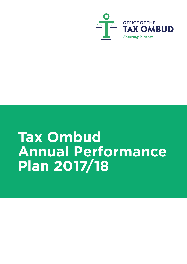

# **Tax Ombud Annual Performance Plan 2017/18**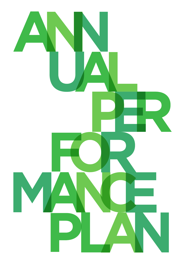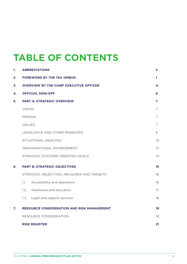## **TABLE OF CONTENTS**

| 1. |                | <b>ABBREVIATIONS</b>                              | ii.            |
|----|----------------|---------------------------------------------------|----------------|
| 2. |                | <b>FOREWORD BY THE TAX OMBUD</b>                  | 1              |
| 3. |                | <b>OVERVIEW BY THE CHIEF EXECUTIVE OFFICER</b>    | 4              |
| 4. |                | <b>OFFICIAL SIGN-OFF</b>                          | 6              |
| 5. |                | <b>PART A: STRATEGIC OVERVIEW</b>                 | $\overline{z}$ |
|    | <b>VISION</b>  |                                                   | $\overline{7}$ |
|    | <b>MISSION</b> |                                                   | $\overline{7}$ |
|    | VALUES         |                                                   | $\overline{7}$ |
|    |                | LEGISLATIVE AND OTHER MANDATES                    | 8              |
|    |                | SITUATIONAL ANALYSIS                              | 10             |
|    |                | ORGANISATIONAL ENVIRONMENT                        | 13             |
|    |                | STRATEGIC OUTCOME-ORIENTED GOALS                  | 14             |
| 6. |                | <b>PART B: STRATEGIC OBJECTIVES</b>               | 15             |
|    |                | STRATEGIC OBJECTIVES, MEASURES AND TARGETS        | 16             |
|    | 1.1            | Accessibility and operations                      | 16             |
|    | 1.2            | Awareness and education                           | 17             |
|    | 1.3            | Legal and support services                        | 18             |
| 7. |                | <b>RESOURCE CONSIDERATION AND RISK MANAGEMENT</b> | 19             |
|    |                | RESOURCE CONSIDERATION                            | 19             |
|    |                | <b>RISK REGISTER</b>                              | 21             |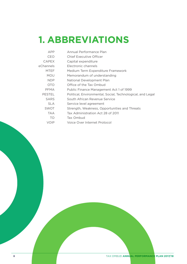## **1. ABBREVIATIONS**

| APP           | Annual Performance Plan                                    |
|---------------|------------------------------------------------------------|
| <b>CEO</b>    | <b>Chief Executive Officer</b>                             |
| <b>CAPEX</b>  | Capital expenditure                                        |
| eChannels     | Electronic channels                                        |
| <b>MTEF</b>   | Medium Term Expenditure Framework                          |
| <b>MOU</b>    | Memorandum of understanding                                |
| <b>NDP</b>    | National Development Plan                                  |
| <b>OTO</b>    | Office of the Tax Ombud                                    |
| <b>PFMA</b>   | Public Finance Management Act 1 of 1999                    |
| <b>PESTEL</b> | Political, Environmental, Social, Technological, and Legal |
| <b>SARS</b>   | South African Revenue Service                              |
| <b>SLA</b>    | Service level agreement                                    |
| <b>SWOT</b>   | Strength, Weakness, Opportunities and Threats              |
| <b>TAA</b>    | Tax Administration Act 28 of 2011                          |
| TO            | Tax Ombud                                                  |
| VOIP          | Voice Over Internet Protocol                               |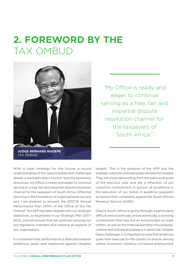## **2. FOREWORD BY THE**  TAX OMBUD



"My Office is ready and eager to continue serving as a free, fair and impartial dispute resolution channel for the taxpayers of South Africa."

With a clear strategy for the future, a sound understanding of the opportunities and challenges ahead, a workable plan of action and the necessary resources, my Office is ready and eager to continue serving as a free, fair and impartial dispute resolution channel for the taxpayers of South Africa. Effective planning is the foundation of organisational success and I am pleased to present the 2017/18 Annual Performance Plan (APP) of the Office of the Tax Ombud. The APP has been aligned with our strategic objectives, as expressed in our Strategic Plan 2017- 2022, and will ensure that we continue carrying out our legislative mandate and improve all aspects of our organisation.

It is essential that performance is directed towards ambitious goals and measured against tangible

targets. This is the purpose of the APP and the strategic outcome-oriented goals we have formulated. They are more demanding than the plans and goals of the previous year and are a reflection of our collective commitment in pursuit of excellence in the execution of our duties in assisting taxpayers to resolve their complaints against the South African Revenue Service (SARS).

Clearly South Africa is going through a particularly difficult period politically and economically, a worrying combination that may put an extra burden on state coffers, as well as the financial standing of businesses, citizens and individual taxpayers in particular. Despite these challenges, it is important to note that ambitious goals have been set for the country to ensure, among others, economic vibrancy, increased employment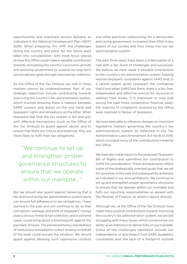opportunities and improved service delivery, as indicated in the National Development Plan (NDP) 2030. When preparing this APP, the challenges facing the country and plans for the future were taken into consideration, with more focus placed on how this Office could make a valuable contribution towards stimulating the country's economic growth and assisting government to achieve its long-term service delivery goals through improved tax collection.

As the Office of the Tax Ombud, our role in these matters cannot be underestimated. Part of our strategic objectives include contributing towards improving the country's tax administration system, which involves ensuring there is balance between SARS' powers and duties on the one hand and taxpayers' rights and obligations on the other. When taxpayers feel that the tax system is fair and just, with effective mechanisms (such as the Office of the Tax Ombud) to guard against abuse, and to ensure that there are checks and balances, they are more likely to fulfil their tax obligations.

"We continue to set up and strengthen proper governance structures to ensure that we operate within our mandate..."

But we should also guard against believing that a fair and functioning tax administration system alone can ensure full adherence to tax obligations. I have warned in the past and will continue to do so that corruption, wastage and theft of taxpayers' money pose a serious threat to tax collection, and in extreme cases, could bring about a total boycott against the payment of taxes. The perceived heavy-handedness of institutions mandated to collect revenue on behalf of the state could worsen the situation. We should guard against allowing such oppressive conduct

and other practices unbecoming for a democratic and caring government, to implant their DNA in any aspect of our society and thus creep into our tax administration system.

The past three years have been a rollercoaster of a ride with a fair share of challenges and successes. We believe we have made a valuable contribution to the country's tax administration system, helping resolve taxpayers' complaints against SARS and, to a certain extent, given taxpayers the confidence that if and when SARS fails them, there is a fair, free, independent and effective avenue for recourse to address their issues. It is important to note that during the past three consecutive financial years, the majority of complaints received by the Office were resolved in favour of taxpayers.

We have been able to influence changes on important legislative matters governing the country's tax administration system as reflected in the Tax Administration Laws Amendment Act No 16 of 2016, which included many of the contributions made by the Office.

We have also made inputs to the proposed Taxpayers' Bill of Rights and submitted our contribution to SARS for consideration. These achievements reflect some of the strategically oriented goals that we set for ourselves in the past and subsequently achieved, as indicated in our Annual Reports. We continue to set up and strengthen proper governance structures to ensure that we operate within our mandate and fulfil our reporting responsibilities as agreed with the Minister of Finance, to whom I report directly.

Although we, as the Office of the Tax Ombud, have made many positive contributions towards improving the country's tax administration system, we are still struggling with many issues which compromise our ability as an institution to deliver fully on our mandate. Some of the challenges identified include our independence, or lack thereof, from SARS, budgetary constraints and the lack of a footprint outside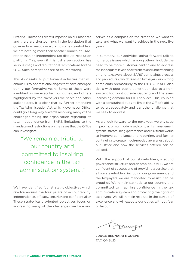Pretoria. Limitations are still imposed on our mandate and there are shortcomings in the legislation that governs how we do our work. To some stakeholders, we are nothing more than another branch of SARS rather than an independent tax dispute-resolution platform. This, even if it is just a perception, has serious image and reputational ramifications for the OTO. Such perceptions are of course wrong.

This APP seeks to put forward activities that will enable us to address challenges that have emerged during our formative years. Some of these were identified as we executed our duties, and others highlighted by the taxpayers we serve and other stakeholders. It is clear that by further amending the Tax Administration Act, which governs our Office, could go a long way towards resolving many of the challenges facing the organisation regarding its total independence from SARS, limitations to the mandate and restrictions on the cases that the Office can investigate.

"We remain patriotic to our country and committed to inspiring confidence in the tax administration system..."

We have identified four strategic objectives which revolve around the four pillars of accountability: independence, efficacy, security and confidentiality. These strategically oriented objectives focus on addressing many of the challenges we face and serves as a compass on the direction we want to take and what we want to achieve in the next five years.

In summary, our activities going forward talk to numerous issues which, among others, include the need to be more customer-centric and to address the inadequate levels of awareness and understanding among taxpayers about SARS' complaints process and procedures, which leads to taxpayers submitting complaints prematurely to the OTO. Our APP also deals with poor public penetration due to a nonexistent footprint outside Gauteng and the everincreasing demand for OTO services. This, coupled with a constrained budget, limits the Office's ability to recruit adequately, and is another challenge that we seek to address.

As we look forward to the next year, we envisage improving on our modernised complaints management system, streamlining governance and risk frameworks to improve compliance and reporting, and further continuing to create much-needed awareness about our Office and how the services offered can be utilised.

With the support of our stakeholders, a sound governance structure and an ambitious APP, we are confident of success and of providing a service that all our stakeholders, including our government and the taxpayers we are mandated to assist, can be proud of. We remain patriotic to our country and committed to inspiring confidence in the tax administration system and protecting the rights of taxpayers. We will remain resolute in the pursuit of excellence and will execute our duties without fear or favour.

Mugpp

**JUDGE BERNARD NGOEPE** TAX OMBUD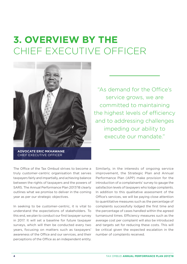## **3. OVERVIEW BY THE** CHIEF EXECUTIVE OFFICER



**ADVOCATE ERIC MKHAWANE** CHIEF EXECUTIVE OFFICER

"As demand for the Office's service grows, we are committed to maintaining the highest levels of efficiency and to addressing challenges impeding our ability to execute our mandate."

The Office of the Tax Ombud strives to become a truly customer-centric organisation that serves taxpayers fairly and impartially, and achieving balance between the rights of taxpayers and the powers of SARS. The Annual Performance Plan 2017/18 clearly outlines what we promise to deliver in the coming year as per our strategic objectives.

In seeking to be customer-centric, it is vital to understand the expectations of stakeholders. To this end, we plan to conduct our first taxpayer survey in 2017. It will set a baseline for future taxpayer surveys, which will then be conducted every two years, focusing on matters such as taxpayers' awareness of the Office and our services, and their perceptions of the Office as an independent entity.

Similarly, in the interests of ongoing service improvement, the Strategic Plan and Annual Performance Plan (APP) make provision for the introduction of a complainants' survey to gauge the satisfaction levels of taxpayers who lodge complaints. In addition to this qualitative assessment of the Office's services, we will be paying close attention to quantitative measures such as the percentage of complaints successfully lodged the first time and the percentage of cases handled within the agreed turnaround times. Efficiency measures such as the average cost per complaint will also be introduced and targets set for reducing these costs. This will be critical given the expected escalation in the number of complaints received.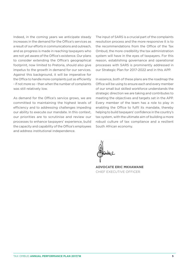Indeed, in the coming years we anticipate steady increases in the demand for the Office's services as a result of our efforts in communications and outreach, and as progress is made in reaching taxpayers who are not yet aware of the Office's existence. Our plans to consider extending the Office's geographical footprint, now limited to Pretoria, should also give impetus to the growth in demand for our services. Against this background, it will be imperative for the Office to handle more complaints just as efficiently - if not more so - than when the number of complaints was still relatively low.

As demand for the Office's service grows, we are committed to maintaining the highest levels of efficiency and to addressing challenges impeding our ability to execute our mandate. In this context, our priorities are to scrutinise and review our processes to enhance taxpayers' experience, build the capacity and capability of the Office's employees and address institutional independence.

The input of SARS is a crucial part of the complaints resolution process and the more responsive it is to the recommendations from the Office of the Tax Ombud, the more credibility the tax administration system will have in the eyes of taxpayers. For this reason, establishing governance and operational processes with SARS is prominently addressed in our Strategic Plan for 2017-2022 and in this APP.

In essence, both of these plans are the roadmap the Office will be using to ensure each and every member of our small but skilled workforce understands the strategic direction we are taking and contributes to meeting the objectives and targets set in the APP. Every member of the team has a role to play in enabling the Office to fulfil its mandate, thereby helping to build taxpayers' confidence in the country's tax system, with the ultimate aim of building a more robust culture of tax compliance and a resilient South African economy.

**ADVOCATE ERIC MKHAWANE** CHIEF EXECUTIVE OFFICER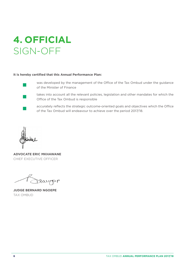## **4. OFFICIAL** SIGN-OFF

#### **It is hereby certified that this Annual Performance Plan:**



was developed by the management of the Office of the Tax Ombud under the guidance of the Minister of Finance



takes into account all the relevant policies, legislation and other mandates for which the Office of the Tax Ombud is responsible

accurately reflects the strategic outcome-oriented goals and objectives which the Office of the Tax Ombud will endeavour to achieve over the period 2017/18.

**ADVOCATE ERIC MKHAWANE** CHIEF EXECUTIVE OFFICER

Mugpp

**JUDGE BERNARD NGOEPE** TAX OMBUD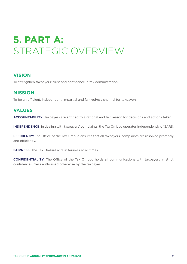## **5. PART A:** STRATEGIC OVERVIEW

### **VISION**

To strengthen taxpayers' trust and confidence in tax administration

### **MISSION**

To be an efficient, independent, impartial and fair redress channel for taxpayers

### **VALUES**

**ACCOUNTABILITY:** Taxpayers are entitled to a rational and fair reason for decisions and actions taken.

**INDEPENDENCE:** In dealing with taxpayers' complaints, the Tax Ombud operates independently of SARS.

**EFFICIENCY:** The Office of the Tax Ombud ensures that all taxpayers' complaints are resolved promptly and efficiently.

**FAIRNESS:** The Tax Ombud acts in fairness at all times.

**CONFIDENTIALITY:** The Office of the Tax Ombud holds all communications with taxpayers in strict confidence unless authorised otherwise by the taxpayer.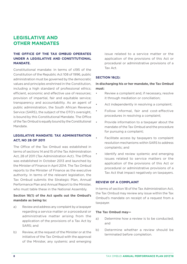### **LEGISLATIVE AND OTHER MANDATES**

#### **THE OFFICE OF THE TAX OMBUD OPERATES UNDER A LEGISLATIVE AND CONSTITUTIONAL MANDATE.**

Constitutional mandate: In terms of s195 of the Constitution of the Republic Act 108 of 1996, public administration must be governed by the democratic values and principles enshrined in the Constitution, including a high standard of professional ethics; efficient, economic and effective use of resources; provision of impartial, fair and equitable service; transparency and accountability. As an agent of public administration, the South African Revenue Service (SARS), the subject of the OTO's oversight, is bound by this Constitutional Mandate. The Office of the Tax Ombud is equally bound by the Constitutional Mandate.

#### **LEGISLATIVE MANDATE: TAX ADMINISTRATION ACT, NO 28 OF 2011**

The Office of the Tax Ombud was established in terms of sections 14 and 15 of the Tax Administration Act, 28 of 2011 (Tax Administration Act). The Office was established in October 2013 and launched by the Minister of Finance in April 2014. The Tax Ombud reports to the Minister of Finance as the executive authority. In terms of the relevant legislation, the Tax Ombud submits the Strategic Plan, Annual Performance Plan and Annual Report to the Minister, who must table these in the National Assembly.

#### **Section 16(1) of the Act spells out the Ombud's mandate as being to:**

- a) Review and address any complaint by a taxpayer regarding a service matter or a procedural or administrative matter arising from the application of the provisions of a Tax Act by SARS; and
- b) Review, at the request of the Minister or at the initiative of the Tax Ombud with the approval of the Minister, any systemic and emerging

issue related to a service matter or the application of the provisions of this Act or procedural or administrative provisions of a Tax Act.

#### **SECTION 16(2):**

#### **In discharging his or her mandate, the Tax Ombud must:**

- Review a complaint and, if necessary, resolve it through mediation or conciliation;
- Act independently in resolving a complaint;
- Follow informal, fair and cost-effective procedures in resolving a complaint;
- Provide information to a taxpayer about the mandate of the Tax Ombud and the procedure for pursuing a complaint;
- Facilitate access by taxpayers to complaint resolution mechanisms within SARS to address complaints; and
- Identify and review systemic and emerging issues related to service matters or the application of the provisions of this Act or procedural or administrative provisions of a Tax Act that impact negatively on taxpayers.

#### **REVIEW OF A COMPLAINT**

In terms of section 18 of the Tax Administration Act, the Tax Ombud may review any issue within the Tax Ombud's mandate on receipt of a request from a taxpayer.

#### **The Tax Ombud may—**

- a) Determine how a review is to be conducted; and
- b) Determine whether a review should be terminated before completion.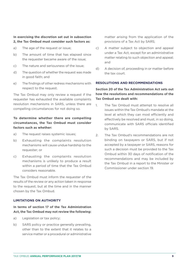#### **In exercising the discretion set out in subsection 2, the Tax Ombud must consider such factors as:**

- a) The age of the request or issue;
- b) The amount of time that has elapsed since the requester became aware of the issue;
- c) The nature and seriousness of the issue;
- d) The question of whether the request was made in good faith; and
- e) The findings of other redress mechanisms with respect to the request.

The Tax Ombud may only review a request if the requester has exhausted the available complaints resolution mechanisms in SARS, unless there are compelling circumstances for not doing so.

#### **To determine whether there are compelling circumstances, the Tax Ombud must consider factors such as whether:**

- a) The request raises systemic issues;
- b) Exhausting the complaints resolution mechanisms will cause undue hardship to the requester; or
- c) Exhausting the complaints resolution mechanisms is unlikely to produce a result within a period of time that the Tax Ombud considers reasonable.

The Tax Ombud must inform the requester of the results of the review or any action taken in response to the request, but at the time and in the manner chosen by the Tax Ombud.

#### **LIMITATIONS ON AUTHORITY**

#### **In terms of section 17 of the Tax Administration Act, the Tax Ombud may not review the following:**

- a) Legislation or tax policy;
- b) SARS policy or practice generally prevailing, other than to the extent that it relates to a service matter or a procedural or administrative

matter arising from the application of the provisions of a Tax Act by SARS;

- c) A matter subject to objection and appeal under a Tax Act, except for an administrative matter relating to such objection and appeal; and
- d) A decision of, proceeding in or matter before the tax court.

#### **RESOLUTIONS AND RECOMMENDATIONS**

#### **Section 20 of the Tax Administration Act sets out how the resolutions and recommendations of the Tax Ombud are dealt with:**

- 1. The Tax Ombud must attempt to resolve all issues within the Tax Ombud's mandate at the level at which they can most efficiently and effectively be resolved and must, in so doing, communicate with SARS officials identified by SARS.
- 2. The Tax Ombud's recommendations are not binding on taxpayers or SARS, but if not accepted by a taxpayer or SARS, reasons for such a decision must be provided to the Tax Ombud within 30 days of notification of the recommendations and may be included by the Tax Ombud in a report to the Minister or Commissioner under section 19.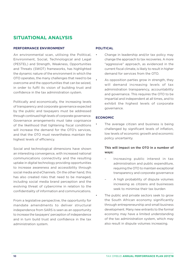### **SITUATIONAL ANALYSIS**

#### **PERFORMANCE ENVIRONMENT**

An environmental scan, utilising the Political, Environment, Social, Technological and Legal (PESTEL) and Strength, Weakness, Opportunities and Threats (SWOT) frameworks, has highlighted the dynamic nature of the environment in which the OTO operates, the many challenges that need to be overcome and the opportunities that can be seized, in order to fulfil its vision of building trust and confidence in the tax administration system.

Politically and economically, the increasing levels of transparency and corporate governance expected by the public and taxpayers must be addressed through continued high levels of corporate governance. Governance arrangements must take cognisance of the likelihood that tightening fiscal conditions will increase the demand for the OTO's services. and that the OTO must nevertheless maintain the highest levels of efficiency.

Social and technological dimensions have shown an interesting convergence, with increased national communications connectivity and the resulting uptake in digital technology providing opportunities to increase awareness and accessibility through social media and eChannels. On the other hand, this has also created risks that need to be managed, including social media brand perception and the evolving threat of cybercrime in relation to the confidentiality of information and communications.

From a legislative perspective, the opportunity for mandate amendments to deliver structural independence from SARS is seen as an opportunity to increase the taxpayers' perception of independence and in turn build trust and confidence in the tax administration system.

#### **POLITICAL**

- Change in leadership and/or tax policy may change the approach to tax recoveries. A more "aggressive" approach, as evidenced in the current fiscal climate, is likely to result in higher demand for services from the OTO.
- As opposition parties grow in strength, they will demand increasing levels of tax administration transparency, accountability and governance. This requires the OTO to be impartial and independent at all times, and to exhibit the highest levels of corporate governance.

#### **ECONOMIC**

The average citizen and business is being challenged by significant levels of inflation, low levels of economic growth and economic policy uncertainty.

#### **This will impact on the OTO in a number of ways:**

- Increasing public interest in tax administration and public expenditure, requiring the OTO to maintain exceptional transparency and corporate governance
- A high probability of dispute volumes increasing as citizens and businesses seek to minimise their tax burden
- The public and private sectors seek to grow the South African economy significantly through entrepreneurship and small business development. Many new entrants to the formal economy may have a limited understanding of the tax administration system, which may also result in dispute volumes increasing.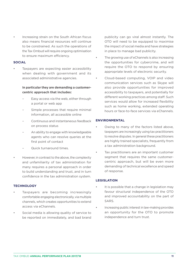Increasing strain on the South African fiscus also means financial resources will continue to be constrained. As such the operations of the Tax Ombud will require ongoing optimisation to ensure maximum efficiency.

#### **SOCIAL**

Taxpayers are expecting easier accessibility when dealing with government and its associated administrative agencies.

#### **In particular they are demanding a customercentric approach that includes:**

- Easy access via the web, either through a portal or web app
- Simple processes that require minimal information, all accessible online
- Continuous and instantaneous feedback on process status
- An ability to engage with knowledgeable agents who can resolve queries at the first point of contact
- Quick turnaround times.
- However, in contrast to the above, the complexity and unfamiliarity of tax administration for many requires a personal approach in order to build understanding and trust, and in turn confidence in the tax administration system.

#### **TECHNOLOGY**

- Taxpayers are becoming increasingly comfortable engaging electronically, via multiple channels, which creates opportunities to extend access via eChannels.
- Social media is allowing quality of service to be reported on immediately, and bad brand

publicity can go viral almost instantly. The OTO will need to be equipped to maximise the impact of social media and have strategies in place to manage bad publicity.

- The growing use of eChannels is also increasing the opportunities for cybercrime, and will require the OTO to respond by ensuring appropriate levels of electronic security.
- Cloud-based computing, VOIP and video communication services such as Skype will also provide opportunities for improved accessibility to taxpayers, and potentially for different working practices among staff. Such services would allow for increased flexibility such as home working, extended operating hours or face-to-face services via eChannels.

#### **ENVIRONMENTAL**

- Owing to many of the factors listed above, taxpayers are increasingly using tax practitioners to resolve disputes. In general these practitioners are highly trained specialists, frequently from a tax administration background.
- Tax practitioners are an important customer segment that requires the same customercentric approach, but will be even more demanding of technical excellence and speed of response.

#### **LEGISLATION**

- It is possible that a change in legislation may favour structural independence of the OTO and improved accountability on the part of SARS.
- Increasing public interest in law-making provides an opportunity for the OTO to promote independence and turn trust.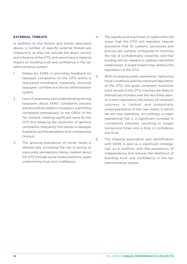#### **EXTERNAL THREATS**

In addition to the factors and trends described above, a number of specific external threats are noteworthy as they are outside the direct control and influence of the OTO, and would have a material impact on building trust and confidence in the tax administration system.

- 1. Delays by SARS in providing feedback on taxpayer complaints to the OTO within a stipulated timeframe materially diminish taxpayers' confidence in the tax administration system.
- 2. Lack of awareness and understanding among taxpayers about SARS' complaints process and procedures leads to taxpayers submitting complaints prematurely to the Office of the Tax Ombud, creating significant work for the OTO and delaying the resolution of genuine complaints; frequently, this results in taxpayer frustration and the perception of an unresponsive Ombud.
- 3. The growing prevalence of social media is dramatically increasing the risk of wrong or inaccurate perceptions being created about the OTO through social media platforms, again undermining trust and confidence.
- 4. The rapidly evolving threat of cybercrime will mean that the OTO will regularly require assurance that its systems, processes and policies are suitably configured to minimise the risk of confidentiality breaches, and that funding will be needed to address identified weaknesses. A single breach may destroy the reputation of the OTO.
- 5. With increasing public awareness, tightening fiscal conditions and the improved reputation of the OTO, the good complaint resolution track record of the OTO volumes are likely to dramatically increase over the next three years. As a new organisation, the history of complaint volumes is limited and potentially unrepresentative of the new reality in which we are now operating. Accordingly, a major operational risk is a significant increase in complaints volumes, resulting in longer turnaround times and a drop in confidence and trust.
- 6. The ongoing association and identification with SARS is seen as a significant strategic risk, as it conflicts with the perception of independence and reduces the likelihood of building trust and confidence in the tax administration system.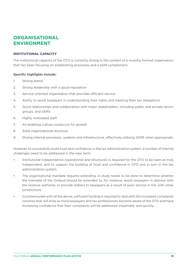### **ORGANISATIONAL ENVIRONMENT**

#### **INSTITUTIONAL CAPACITY**

The institutional capacity of the OTO is currently strong in the context of a recently formed organisation that has been focusing on establishing processes and a staff complement.

#### **Specific highlights include:**

- 1. Strong brand
- 2. Strong leadership with a good reputation
- 3. Service-oriented organisation that provides efficient service
- 4. Ability to assist taxpayers in understanding their rights and meeting their tax obligations
- 5. Good relationships and collaboration with major stakeholders, including public and private sector groups, and SARS
- 6. Highly motivated staff
- 7. An enabling culture conducive for growth
- 8. Solid organisational structure
- 9. Strong internal processes, systems and infrastructure, effectively utilising SARS when appropriate.

However, to successfully build trust and confidence in the tax administration system, a number of internal challenges need to be addressed in the near term.

- Institutional independence (operational and structural) is required for the OTO to be seen as truly independent, and to support the building of trust and confidence in OTO and in turn in the tax administration system.
- The organisational mandate requires extending. A study needs to be done to determine whether the mandate of the Ombud should be extended to, for instance, assist taxpayers in distress with the revenue authority or provide redress to taxpayers as a result of poor service in line with other jurisdictions.
- Commensurate with all the above, sufficient funding is required to deal with the increased complaints volumes that will arise as more taxpayers and tax professionals become aware of the OTO and have increasing confidence that their complaints will be addressed impartially and quickly.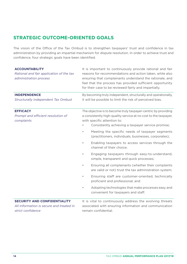### **STRATEGIC OUTCOME-ORIENTED GOALS**

The vision of the Office of the Tax Ombud is to strengthen taxpayers' trust and confidence in tax administration by providing an impartial mechanism for dispute resolution. In order to achieve trust and confidence, four strategic goals have been identified.

| <b>ACCOUNTABILITY</b><br>Rational and fair application of the tax<br>administration process   | It is important to continuously provide rational and fair<br>reasons for recommendations and action taken, while also<br>ensuring that complainants understand the rationale, and<br>feel that the process has provided sufficient opportunity<br>for their case to be reviewed fairly and impartially. |  |  |  |  |
|-----------------------------------------------------------------------------------------------|---------------------------------------------------------------------------------------------------------------------------------------------------------------------------------------------------------------------------------------------------------------------------------------------------------|--|--|--|--|
| <b>INDEPENDENCE</b><br>Structurally independent Tax Ombud                                     | By becoming truly independent, structurally and operationally,<br>it will be possible to limit the risk of perceived bias.                                                                                                                                                                              |  |  |  |  |
| <b>EFFICACY</b><br>Prompt and efficient resolution of<br>complaints                           | The objective is to become truly taxpayer-centric by providing<br>a consistently high-quality service at no cost to the taxpayer,<br>with specific attention to:<br>Consistently achieving a taxpayer service promise;<br>Meeting the specific needs of taxpayer segments<br>$\bullet$                  |  |  |  |  |
|                                                                                               | (practitioners, individuals, businesses, corporates);<br>Enabling taxpayers to access services through the<br>$\bullet$<br>channel of their choice;                                                                                                                                                     |  |  |  |  |
|                                                                                               | Engaging taxpayers through easy-to-understand,<br>$\bullet$<br>simple, transparent and quick processes;                                                                                                                                                                                                 |  |  |  |  |
|                                                                                               | Ensuring all complainants (whether their complaints<br>$\bullet$<br>are valid or not) trust the tax administration system;                                                                                                                                                                              |  |  |  |  |
|                                                                                               | Ensuring staff are customer-oriented, technically<br>$\bullet$<br>proficient and professional; and                                                                                                                                                                                                      |  |  |  |  |
|                                                                                               | Adopting technologies that make processes easy and<br>$\bullet$<br>convenient for taxpayers and staff.                                                                                                                                                                                                  |  |  |  |  |
| SECURITY AND CONFIDENTIALITY<br>All information is secure and treated in<br>strict confidence | It is vital to continuously address the evolving threats<br>associated with ensuring information and communication<br>remain confidential.                                                                                                                                                              |  |  |  |  |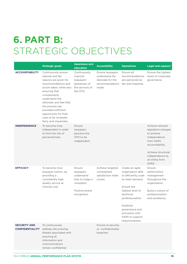## **6. PART B:** STRATEGIC OBJECTIVES

|                                               | <b>Strategic goals</b>                                                                                                                                                                                                                                                                                                   | <b>Awareness and</b><br>education                                                                  | <b>Accessibility</b>                                                                | <b>Operations</b>                                                                                                                                                                                                                         | <b>Legal and support</b>                                                                                                                                                  |
|-----------------------------------------------|--------------------------------------------------------------------------------------------------------------------------------------------------------------------------------------------------------------------------------------------------------------------------------------------------------------------------|----------------------------------------------------------------------------------------------------|-------------------------------------------------------------------------------------|-------------------------------------------------------------------------------------------------------------------------------------------------------------------------------------------------------------------------------------------|---------------------------------------------------------------------------------------------------------------------------------------------------------------------------|
| <b>ACCOUNTABILITY</b>                         | Continuously ensure<br>rational and fair<br>reasons are given for<br>recommendations and<br>action taken; while also<br>ensuring that<br>complainants<br>understand the<br>rationale, and feel that<br>the process has<br>provided sufficient<br>opportunity for their<br>case to be reviewed<br>fairly and impartially. | Continuously<br>improve<br>taxpayers'<br>awareness of<br>the services of<br>the OTO.               | Ensure taxpayers<br>understand the<br>rationale for the<br>recommendations<br>made. | Ensure all<br>recommendations<br>are perceived as<br>fair and impartial.                                                                                                                                                                  | Ensure the highest<br>levels of corporate<br>governance.                                                                                                                  |
| <b>INDEPENDENCE</b>                           | To become truly<br>independent in order<br>to limit the risk of<br>perceived bias.                                                                                                                                                                                                                                       | Ensure<br>taxpayers<br>perceive the<br>OTO to be<br>independent.                                   |                                                                                     |                                                                                                                                                                                                                                           | Achieve relevant<br>legislative changes<br>to achieve<br>independence<br>from SARS<br>accountability.<br>Achieve structural<br>independence as<br>an entity from<br>SARS. |
| <b>EFFICACY</b>                               | To become truly<br>taxpayer-centric, by<br>providing a<br>consistently high-<br>quality service at<br>minimal cost                                                                                                                                                                                                       | Ensure<br>taxpayers<br>understand<br>how to lodge a<br>complaint.<br>Positive brand<br>recognition | Achieve targeted<br>complainant<br>satisfaction index<br>scores.                    | Create an agile<br>organisation able<br>to efficiently scale<br>to meet demand.<br>Ensure the<br>highest level of<br>technical<br>professionalism.<br>Establish<br>governance and<br>processes with<br>SARS to support<br>responsiveness. | Ensure<br>performance<br>management<br>throughout the<br>organisation.<br>Build a culture of<br>professionalism<br>and excellence.                                        |
| <b>SECURITY AND</b><br><b>CONFIDENTIALITY</b> | To continuously<br>address the evolving<br>threats associated with<br>ensuring all<br>information and<br>communications<br>remain confidential                                                                                                                                                                           |                                                                                                    | Ensure no security<br>or confidentiality<br>breaches.                               |                                                                                                                                                                                                                                           |                                                                                                                                                                           |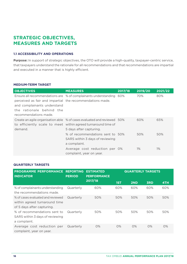### **STRATEGIC OBJECTIVES, MEASURES AND TARGETS**

#### **1.1 ACCESSIBILITY AND OPERATIONS**

**Purpose:** In support of strategic objectives, the OTO will provide a high-quality, taxpayer-centric service, that taxpayers understand the rationale for all recommendations and that recommendations are impartial and executed in a manner that is highly efficient.

#### **MEDIUM-TERM TARGET**

| <b>OBJECTIVES</b>                                                                                                                             | <b>MEASURES</b>                                                                                                                                                     | 2017/18 | 2019/20 | 2021/22 |
|-----------------------------------------------------------------------------------------------------------------------------------------------|---------------------------------------------------------------------------------------------------------------------------------------------------------------------|---------|---------|---------|
| perceived as fair and impartial the recommendations made.<br>and complainants understand<br>the rationale behind the<br>recommendations made. | Ensure all recommendations are % of complainants understanding 60%                                                                                                  |         | 70%     | 80%     |
| demand.                                                                                                                                       | Create an agile organisation able % of cases evaluated and reviewed 50%<br>to efficiently scale to meet within agreed turnaround time of<br>5 days after capturing. |         | 60%     | 65%     |
|                                                                                                                                               | % of recommendations sent to 50%<br>SARS within 3 days of reviewing<br>a complaint.                                                                                 |         | 50%     | 50%     |
|                                                                                                                                               | Average cost reduction per 0%<br>complaint, year on year.                                                                                                           |         | $1\%$   | $1\%$   |

#### **QUARTERLY TARGETS**

| <b>PROGRAMME PERFORMANCE</b><br><b>INDICATOR</b>                                                 | <b>REPORTING</b><br><b>PERIOD</b> | <b>ESTIMATED</b><br><b>PERFORMANCE</b> | <b>QUARTERLY TARGETS</b> |       |            |       |
|--------------------------------------------------------------------------------------------------|-----------------------------------|----------------------------------------|--------------------------|-------|------------|-------|
|                                                                                                  |                                   | 2017/18                                | 1ST                      | 2ND   | <b>3RD</b> | 4TH   |
| % of complainants understanding<br>the recommendations made.                                     | Quarterly                         | 60%                                    | 60%                      | 60%   | 60%        | 60%   |
| % of cases evaluated and reviewed<br>within agreed turnaround time<br>of 5 days after capturing. | Quarterly                         | 50%                                    | 50%                      | 50%   | 50%        | 50%   |
| % of recommendations sent to<br>SARS within 3 days of reviewing<br>a complaint.                  | Quarterly                         | 50%                                    | 50%                      | 50%   | 50%        | 50%   |
| Average cost reduction per<br>complaint, year on year.                                           | Quarterly                         | $O\%$                                  | $O\%$                    | $O\%$ | $O\%$      | $O\%$ |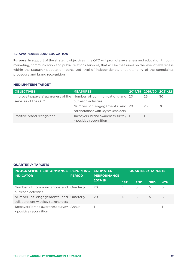#### **1.2 AWARENESS AND EDUCATION**

**Purpose:** In support of the strategic objectives , the OTO will promote awareness and education through marketing, communication and public relations services, that will be measured on the level of awareness within the taxpayer population, perceived level of independence, understanding of the complaints procedure and brand recognition.

#### **MEDIUM-TERM TARGET**

| <b>OBJECTIVES</b>                                                   | <b>MEASURES</b>                       |    | 2017/18 2019/20 2021/22 |
|---------------------------------------------------------------------|---------------------------------------|----|-------------------------|
| Improve taxpayers' awareness of the Number of communications and 20 |                                       | 25 | 30.                     |
| services of the OTO.                                                | outreach activities.                  |    |                         |
|                                                                     | Number of engagements and 20          | 25 | 30                      |
|                                                                     | collaborations with key stakeholders. |    |                         |
| Positive brand recognition                                          | Taxpayers' brand awareness survey 1   |    |                         |
|                                                                     | - positive recognition                |    |                         |

#### **QUARTERLY TARGETS**

| <b>PROGRAMME PERFORMANCE REPORTING</b><br><b>INDICATOR</b>                  | <b>ESTIMATED</b><br><b>PERFORMANCE</b><br><b>PERIOD</b> |         | <b>QUARTERLY TARGETS</b> |     |            |     |
|-----------------------------------------------------------------------------|---------------------------------------------------------|---------|--------------------------|-----|------------|-----|
|                                                                             |                                                         | 2017/18 | 1ST                      | 2ND | <b>3RD</b> | 4TH |
| Number of communications and Quarterly<br>outreach activities               |                                                         | 20      | 5                        | 5   | 5          | 5   |
| Number of engagements and Quarterly<br>collaborations with key stakeholders |                                                         | 20      | 5                        | 5   | 5          | 5   |
| Taxpayers' brand awareness survey Annual<br>- positive recognition          |                                                         |         |                          |     |            |     |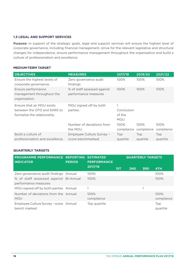#### **1.3 LEGAL AND SUPPORT SERVICES**

**Purpose:** In support of the strategic goals, legal and support services will ensure the highest level of corporate governance, including financial management, strive for the relevant legislative and structural changes for independence, ensure performance management throughout the organisation and build a culture of professionalism and excellence.

#### **MEDIUM-TERM TARGET**

| <b>OBJECTIVES</b>                                                                       | <b>MEASURES</b>                                                 | 2017/18                                         | 2019/20         | 2021/22         |
|-----------------------------------------------------------------------------------------|-----------------------------------------------------------------|-------------------------------------------------|-----------------|-----------------|
| Ensure the highest levels of<br>corporate governance.                                   | Zero governance audit<br>findings                               | 100%                                            | 100%            | 100%            |
| Ensure performance<br>management throughout the<br>organisation.                        | % of staff assessed against<br>performance measures             | 100%                                            | 100%            | 100%            |
| Ensure that an MOU exists<br>between the OTO and SARS to<br>formalise the relationship. | MOU signed off by both<br>parties.<br>Number of deviations from | 1<br>Conclusion<br>of the<br><b>MOU</b><br>100% | $100\%$         | 100%            |
|                                                                                         | the MOU                                                         | compliance                                      | compliance      | compliance      |
| Build a culture of<br>professionalism and excellence.                                   | Employee Culture Survey -<br>score benchmarked                  | Top<br>quartile                                 | Top<br>quartile | Top<br>quartile |

#### **QUARTERLY TARGETS**

| PROGRAMME PERFORMANCE REPORTING ESTIMATED<br><b>INDICATOR</b> | <b>PERIOD</b> | <b>PERFORMANCE</b> | <b>QUARTERLY TARGETS</b> |     |            |                 |
|---------------------------------------------------------------|---------------|--------------------|--------------------------|-----|------------|-----------------|
|                                                               |               | 2017/18            | 1ST                      | 2ND | <b>3RD</b> | 4TH             |
| Zero governance audit findings Annual                         |               | 100%               |                          |     |            | 100%            |
| % of staff assessed against Bi-Annual                         |               | 100%               |                          |     |            | 100%            |
| performance measures                                          |               |                    |                          |     |            |                 |
| MOU signed off by both parties Annual                         |               |                    |                          |     |            |                 |
| Number of deviations from the Annual                          |               | 100%               |                          |     |            | 100%            |
| <b>MOU</b>                                                    |               | compliance         |                          |     |            | compliance      |
| Employee Culture Survey - score Annual<br>bench marked        |               | Top quartile       |                          |     |            | Top<br>quartile |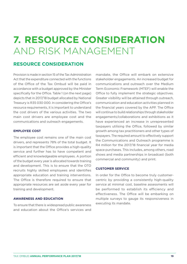## **7. RESOURCE CONSIDERATION**  AND RISK MANAGEMENT

### **RESOURCE CONSIDERATION**

Provision is made in section 15 of the Tax Administration Act that the expenditure connected with the functions of the Office of the Tax Ombud will be paid in accordance with a budget approved by the Minister specifically for the Office. Table 1 (on the next page) depicts that in 2017/18 budget allocated by National Treasury is R35 030 000. In considering the Office's resource requirements, it is important to understand the cost drivers of the various activities. The two main cost drivers are employee cost and the communications and outreach engagements.

#### **EMPLOYEE COST**

The employee cost remains one of the main cost drivers, and represents 78% of the total budget. It is important that the Office provides a high-quality service and further has to have competent and efficient and knowledgeable employees. A portion of the budget every year is allocated towards training and development. This is to ensure that the OTO recruits highly skilled employees and identifies appropriate education and training interventions. The Office is therefore required to ensure that appropriate resources are set aside every year for training and development.

#### **AWARENESS AND EDUCATION**

To ensure that there is widespread public awareness and education about the Office's services and

mandate, the Office will embark on extensive stakeholder engagements. An increased budget for communications and outreach over the Medium Term Economic Framework (MTEF) will enable the Office to fully implement the strategic objectives. Greater visibility will be attained through outreach, communication and education activities planned in the financial years covered by the APP. The Office will continue to build relationships through stakeholder engagements/collaborations and exhibitions as it have experienced an increase in unrepresented taxpayers utilising the Office, followed by similar growth among tax practitioners and other types of taxpayers. The required amount to effectively support the Communications and Outreach programme is R4 million for the 2017/18 financial year for media space purchases. This includes, among others, road shows and media partnerships in broadcast (both commercial and community) and print.

#### **CUSTOMER SERVICE**

In order for the Office to become truly customercentric by providing a consistently high-quality service at minimal cost, baseline assessments will be performed to establish its efficiency and effectiveness. The Office will be embarking on multiple surveys to gauge its responsiveness in executing its mandate.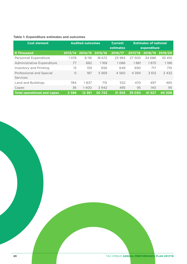#### **Table 1: Expenditure estimates and outcomes**

| <b>Cost element</b>                | <b>Audited outcomes</b> |         | <b>Current</b> | <b>Estimates of national</b> |                      |             |         |
|------------------------------------|-------------------------|---------|----------------|------------------------------|----------------------|-------------|---------|
|                                    |                         |         |                | estimates                    |                      | expenditure |         |
| <b>R</b> Thousand                  | 2013/14                 | 2014/15 | 2015/16        | 2016/17                      | $\overline{2017/18}$ | 2018/19     | 2019/20 |
| Personnel Expenditure              | 1478                    | 8 116   | 18 672         | 23 983                       | 27 500               | 34 686      | 35 410  |
| Administrative Expenditure         | 77                      | 682     | 1169           | 1086                         | 1881                 | 1875        | 1196    |
| Inventory and Printing             | 13                      | 139     | 656            | 649                          | 690                  | 717         | 710     |
| Professional and Special           | Ο                       | 187     | 5 5 6 9        | 4 5 6 0                      | 4 3 9 4              | 3 612       | 2432    |
| Services                           |                         |         |                |                              |                      |             |         |
| Land and Buildings                 | 784                     | 1837    | 715            | 532                          | 470                  | 497         | 465     |
| Capex                              | 36                      | 1400    | 3942           | 495                          | 95                   | 140         | 95      |
| <b>Total operational and capex</b> | 2 3 8 8                 | 12 361  | 30723          | 31 305                       | 35 030               | 41 5 2 7    | 40 308  |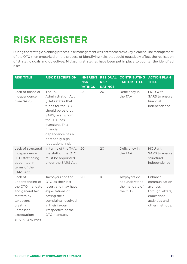## **RISK REGISTER**

During the strategic planning process, risk management was entrenched as a key element. The management of the OTO then embarked on the process of identifying risks that could negatively affect the realisation of strategic goals and objectives. Mitigating strategies have been put in place to counter the identified risks.

| <b>RISK TITLE</b>                                                                                                                                            | <b>RISK DESCRIPTION</b>                                                                                                                                                                                                             | <b>INHERENT</b><br><b>RISK</b><br><b>RATINGS</b> | <b>RESIDUAL</b><br><b>RISK</b><br><b>RATINGS</b> | <b>CONTRIBUTING</b><br><b>FACTOR TITLE</b>                   | <b>ACTION PLAN</b><br><b>TITLE</b>                                                                         |
|--------------------------------------------------------------------------------------------------------------------------------------------------------------|-------------------------------------------------------------------------------------------------------------------------------------------------------------------------------------------------------------------------------------|--------------------------------------------------|--------------------------------------------------|--------------------------------------------------------------|------------------------------------------------------------------------------------------------------------|
| Lack of financial<br>independence<br>from SARS                                                                                                               | The Tax<br><b>Administration Act</b><br>(TAA) states that<br>funds for the OTO<br>should be paid by<br>SARS, over whom<br>the OTO has<br>oversight. This<br>financial<br>dependence has a<br>potentially high<br>reputational risk. | 25                                               | 20                                               | Deficiency in<br>the TAA                                     | MOU with<br>SARS to ensure<br>financial<br>independence.                                                   |
| Lack of structural<br>independence.<br>OTO staff being<br>appointed in<br>terms of the<br><b>SARS Act.</b>                                                   | In terms of the TAA,<br>the staff of the OTO<br>must be appointed<br>under the SARS Act.                                                                                                                                            | 20                                               | 20                                               | Deficiency in<br>the TAA                                     | MOU with<br>SARS to ensure<br>structural<br>independence                                                   |
| Lack of<br>understanding of<br>the OTO mandate<br>and general tax<br>matters by<br>taxpayers,<br>creating<br>unrealistic<br>expectations<br>among taxpayers. | Taxpayers see the<br>OTO as their last<br>resort and may have<br>expectations of<br>having their<br>complaints resolved<br>in their favour<br>irrespective of the<br>OTO mandate.                                                   | 20                                               | 16                                               | Taxpayers do<br>not understand<br>the mandate of<br>the OTO. | Enhance<br>communication<br>avenues<br>through letters,<br>educational<br>activities and<br>other methods. |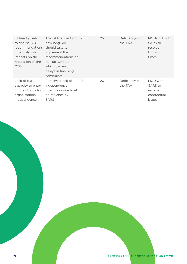| Failure by SARS<br>to finalise OTO<br><i>recommendations</i><br>timeously, which<br>impacts on the<br>reputation of the<br><b>OTO</b> | The TAA is silent on<br>how long SARS<br>should take to<br>implement the<br>recommendations of<br>the Tax Ombud,<br>which can result in<br>delays in finalising<br>complaints. | 25 | 25 | Deficiency in<br>the TAA | MOU/SLA with<br><b>SARS</b> to<br>resolve<br>turnaround<br>times |
|---------------------------------------------------------------------------------------------------------------------------------------|--------------------------------------------------------------------------------------------------------------------------------------------------------------------------------|----|----|--------------------------|------------------------------------------------------------------|
| Lack of legal<br>capacity to enter<br>into contracts for<br>organisational<br>independence                                            | Perceived lack of<br>independence,<br>possible undue level<br>of influence by<br><b>SARS</b>                                                                                   | 20 | 20 | Deficiency in<br>the TAA | MOU with<br>SARS to<br>resolve<br>contractual<br>issues          |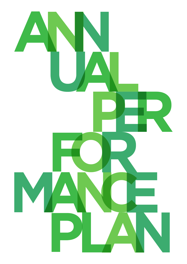